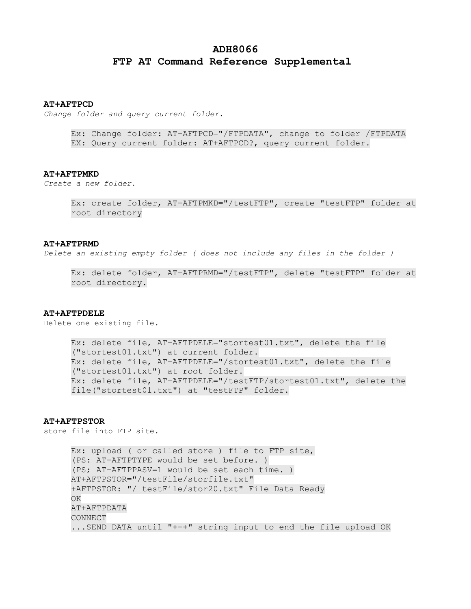# **ADH8066 FTP AT Command Reference Supplemental**

#### **AT+AFTPCD**

*Change folder and query current folder.*

Ex: Change folder: AT+AFTPCD="/FTPDATA", change to folder /FTPDATA EX: Query current folder: AT+AFTPCD?, query current folder.

#### **AT+AFTPMKD**

*Create a new folder.*

Ex: create folder, AT+AFTPMKD="/testFTP", create "testFTP" folder at root directory

#### **AT+AFTPRMD**

*Delete an existing empty folder ( does not include any files in the folder )*

Ex: delete folder, AT+AFTPRMD="/testFTP", delete "testFTP" folder at root directory.

#### **AT+AFTPDELE**

Delete one existing file.

Ex: delete file, AT+AFTPDELE="stortest01.txt", delete the file ("stortest01.txt") at current folder. Ex: delete file, AT+AFTPDELE="/stortest01.txt", delete the file ("stortest01.txt") at root folder. Ex: delete file, AT+AFTPDELE="/testFTP/stortest01.txt", delete the file("stortest01.txt") at "testFTP" folder.

### **AT+AFTPSTOR**

store file into FTP site.

Ex: upload ( or called store ) file to FTP site, (PS: AT+AFTPTYPE would be set before. ) (PS; AT+AFTPPASV=1 would be set each time. ) AT+AFTPSTOR="/testFile/storfile.txt" +AFTPSTOR: "/ testFile/stor20.txt" File Data Ready **OK** AT+AFTPDATA CONNECT ...SEND DATA until "+++" string input to end the file upload OK